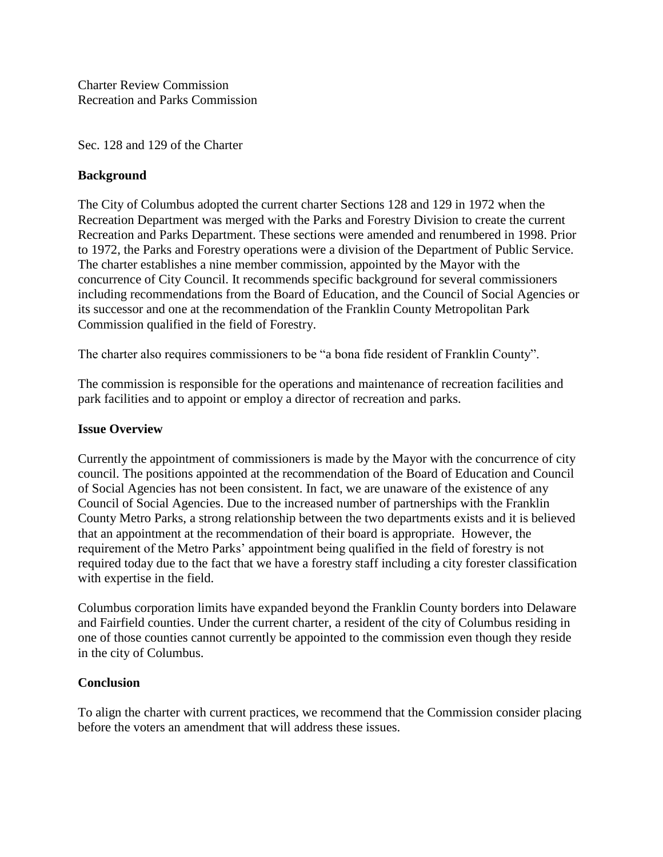Charter Review Commission Recreation and Parks Commission

Sec. 128 and 129 of the Charter

## **Background**

The City of Columbus adopted the current charter Sections 128 and 129 in 1972 when the Recreation Department was merged with the Parks and Forestry Division to create the current Recreation and Parks Department. These sections were amended and renumbered in 1998. Prior to 1972, the Parks and Forestry operations were a division of the Department of Public Service. The charter establishes a nine member commission, appointed by the Mayor with the concurrence of City Council. It recommends specific background for several commissioners including recommendations from the Board of Education, and the Council of Social Agencies or its successor and one at the recommendation of the Franklin County Metropolitan Park Commission qualified in the field of Forestry.

The charter also requires commissioners to be "a bona fide resident of Franklin County".

The commission is responsible for the operations and maintenance of recreation facilities and park facilities and to appoint or employ a director of recreation and parks.

## **Issue Overview**

Currently the appointment of commissioners is made by the Mayor with the concurrence of city council. The positions appointed at the recommendation of the Board of Education and Council of Social Agencies has not been consistent. In fact, we are unaware of the existence of any Council of Social Agencies. Due to the increased number of partnerships with the Franklin County Metro Parks, a strong relationship between the two departments exists and it is believed that an appointment at the recommendation of their board is appropriate. However, the requirement of the Metro Parks' appointment being qualified in the field of forestry is not required today due to the fact that we have a forestry staff including a city forester classification with expertise in the field.

Columbus corporation limits have expanded beyond the Franklin County borders into Delaware and Fairfield counties. Under the current charter, a resident of the city of Columbus residing in one of those counties cannot currently be appointed to the commission even though they reside in the city of Columbus.

## **Conclusion**

To align the charter with current practices, we recommend that the Commission consider placing before the voters an amendment that will address these issues.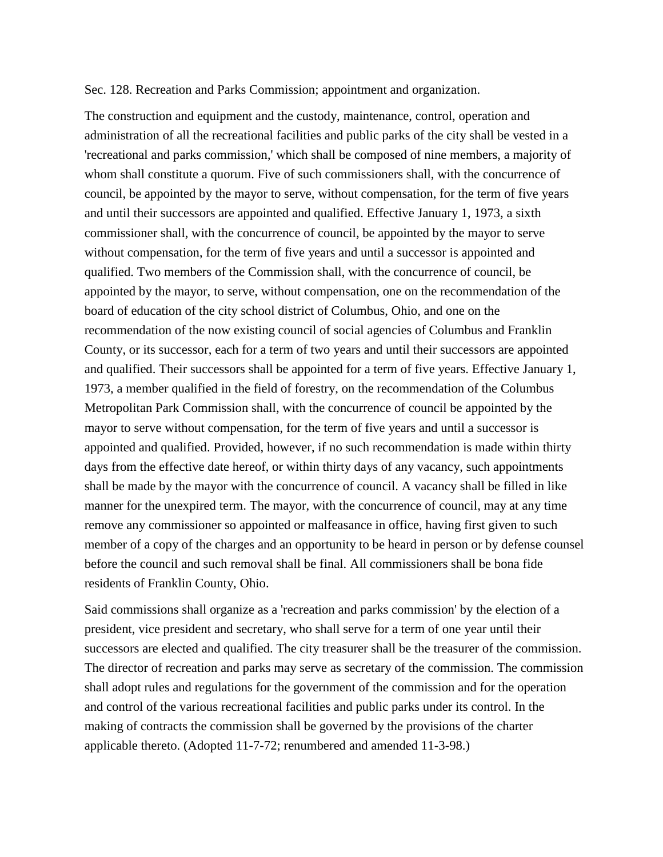## Sec. 128. Recreation and Parks Commission; appointment and organization.

The construction and equipment and the custody, maintenance, control, operation and administration of all the recreational facilities and public parks of the city shall be vested in a 'recreational and parks commission,' which shall be composed of nine members, a majority of whom shall constitute a quorum. Five of such commissioners shall, with the concurrence of council, be appointed by the mayor to serve, without compensation, for the term of five years and until their successors are appointed and qualified. Effective January 1, 1973, a sixth commissioner shall, with the concurrence of council, be appointed by the mayor to serve without compensation, for the term of five years and until a successor is appointed and qualified. Two members of the Commission shall, with the concurrence of council, be appointed by the mayor, to serve, without compensation, one on the recommendation of the board of education of the city school district of Columbus, Ohio, and one on the recommendation of the now existing council of social agencies of Columbus and Franklin County, or its successor, each for a term of two years and until their successors are appointed and qualified. Their successors shall be appointed for a term of five years. Effective January 1, 1973, a member qualified in the field of forestry, on the recommendation of the Columbus Metropolitan Park Commission shall, with the concurrence of council be appointed by the mayor to serve without compensation, for the term of five years and until a successor is appointed and qualified. Provided, however, if no such recommendation is made within thirty days from the effective date hereof, or within thirty days of any vacancy, such appointments shall be made by the mayor with the concurrence of council. A vacancy shall be filled in like manner for the unexpired term. The mayor, with the concurrence of council, may at any time remove any commissioner so appointed or malfeasance in office, having first given to such member of a copy of the charges and an opportunity to be heard in person or by defense counsel before the council and such removal shall be final. All commissioners shall be bona fide residents of Franklin County, Ohio.

Said commissions shall organize as a 'recreation and parks commission' by the election of a president, vice president and secretary, who shall serve for a term of one year until their successors are elected and qualified. The city treasurer shall be the treasurer of the commission. The director of recreation and parks may serve as secretary of the commission. The commission shall adopt rules and regulations for the government of the commission and for the operation and control of the various recreational facilities and public parks under its control. In the making of contracts the commission shall be governed by the provisions of the charter applicable thereto. (Adopted 11-7-72; renumbered and amended 11-3-98.)